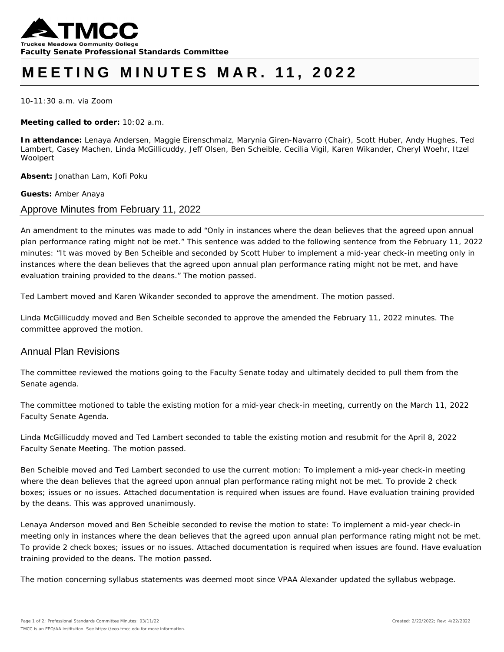

# **MEETING MINUTES MAR . 11, 2022**

10-11:30 a.m. via Zoom

**Meeting called to order:** 10:02 a.m.

**In attendance:** Lenaya Andersen, Maggie Eirenschmalz, Marynia Giren-Navarro (Chair), Scott Huber, Andy Hughes, Ted Lambert, Casey Machen, Linda McGillicuddy, Jeff Olsen, Ben Scheible, Cecilia Vigil, Karen Wikander, Cheryl Woehr, Itzel Woolpert

**Absent:** Jonathan Lam, Kofi Poku

**Guests:** Amber Anaya

### Approve Minutes from February 11, 2022

*An amendment to the minutes was made to add "Only in instances where the dean believes that the agreed upon annual plan performance rating might not be met." This sentence was added to the following sentence from the February 11, 2022 minutes: "It was moved by Ben Scheible and seconded by Scott Huber to implement a mid-year check-in meeting only in*  instances where the dean believes that the agreed upon annual plan performance rating might not be met, and have *evaluation training provided to the deans." The motion passed.*

*Ted Lambert moved and Karen Wikander seconded to approve the amendment. The motion passed.* 

*Linda McGillicuddy moved and Ben Scheible seconded to approve the amended the February 11, 2022 minutes. The committee approved the motion.* 

## Annual Plan Revisions

The committee reviewed the motions going to the Faculty Senate today and ultimately decided to pull them from the Senate agenda.

The committee motioned to table the existing motion for a mid-year check-in meeting, currently on the March 11, 2022 Faculty Senate Agenda.

*Linda McGillicuddy moved and Ted Lambert seconded to table the existing motion and resubmit for the April 8, 2022 Faculty Senate Meeting. The motion passed.* 

*Ben Scheible moved and Ted Lambert seconded to use the current motion: To implement a mid-year check-in meeting where the dean believes that the agreed upon annual plan performance rating might not be met. To provide 2 check boxes; issues or no issues. Attached documentation is required when issues are found. Have evaluation training provided by the deans. This was approved unanimously.* 

*Lenaya Anderson moved and Ben Scheible seconded to revise the motion to state: To implement a mid-year check-in meeting only in instances where the dean believes that the agreed upon annual plan performance rating might not be met. To provide 2 check boxes; issues or no issues. Attached documentation is required when issues are found. Have evaluation training provided to the deans. The motion passed.* 

The motion concerning syllabus statements was deemed moot since VPAA Alexander updated the syllabus webpage.